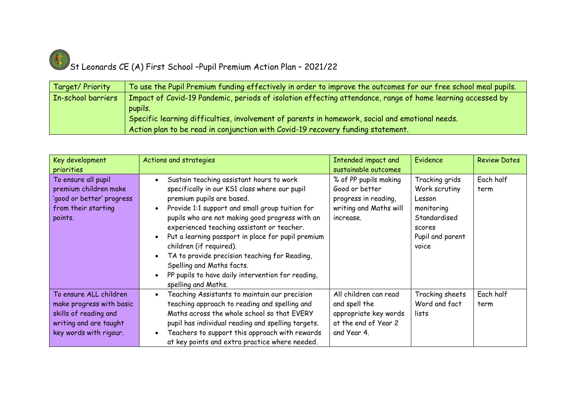

## St Leonards CE (A) First School -Pupil Premium Action Plan - 2021/22

| Target/ Priority   | To use the Pupil Premium funding effectively in order to improve the outcomes for our free school meal pupils. |
|--------------------|----------------------------------------------------------------------------------------------------------------|
| In-school barriers | Impact of Covid-19 Pandemic, periods of isolation effecting attendance, range of home learning accessed by     |
|                    | pupils.                                                                                                        |
|                    | Specific learning difficulties, involvement of parents in homework, social and emotional needs.                |
|                    | Action plan to be read in conjunction with Covid-19 recovery funding statement.                                |

| Key development<br>priorities                                                                                                   | Actions and strategies                                                                                                                                                                                                                                                                                                                                                                                                                                                                                                | Intended impact and<br>sustainable outcomes                                                            | Evidence                                                                                                       | <b>Review Dates</b> |
|---------------------------------------------------------------------------------------------------------------------------------|-----------------------------------------------------------------------------------------------------------------------------------------------------------------------------------------------------------------------------------------------------------------------------------------------------------------------------------------------------------------------------------------------------------------------------------------------------------------------------------------------------------------------|--------------------------------------------------------------------------------------------------------|----------------------------------------------------------------------------------------------------------------|---------------------|
| To ensure all pupil<br>premium children make<br>'good or better' progress<br>from their starting<br>points.                     | Sustain teaching assistant hours to work<br>specifically in our KS1 class where our pupil<br>premium pupils are based.<br>Provide 1:1 support and small group tuition for<br>pupils who are not making good progress with an<br>experienced teaching assistant or teacher.<br>Put a learning passport in place for pupil premium<br>children (if required).<br>TA to provide precision teaching for Reading,<br>Spelling and Maths facts.<br>PP pupils to have daily intervention for reading,<br>spelling and Maths. | % of PP pupils making<br>Good or better<br>progress in reading,<br>writing and Maths will<br>increase. | Tracking grids<br>Work scrutiny<br>Lesson<br>monitoring<br>Standardised<br>scores<br>Pupil and parent<br>voice | Each half<br>term   |
| To ensure ALL children<br>make progress with basic<br>skills of reading and<br>writing and are taught<br>key words with rigour. | Teaching Assistants to maintain our precision<br>teaching approach to reading and spelling and<br>Maths across the whole school so that EVERY<br>pupil has individual reading and spelling targets.<br>Teachers to support this approach with rewards<br>at key points and extra practice where needed.                                                                                                                                                                                                               | All children can read<br>and spell the<br>appropriate key words<br>at the end of Year 2<br>and Year 4. | Tracking sheets<br>Word and fact<br>lists                                                                      | Each half<br>term   |